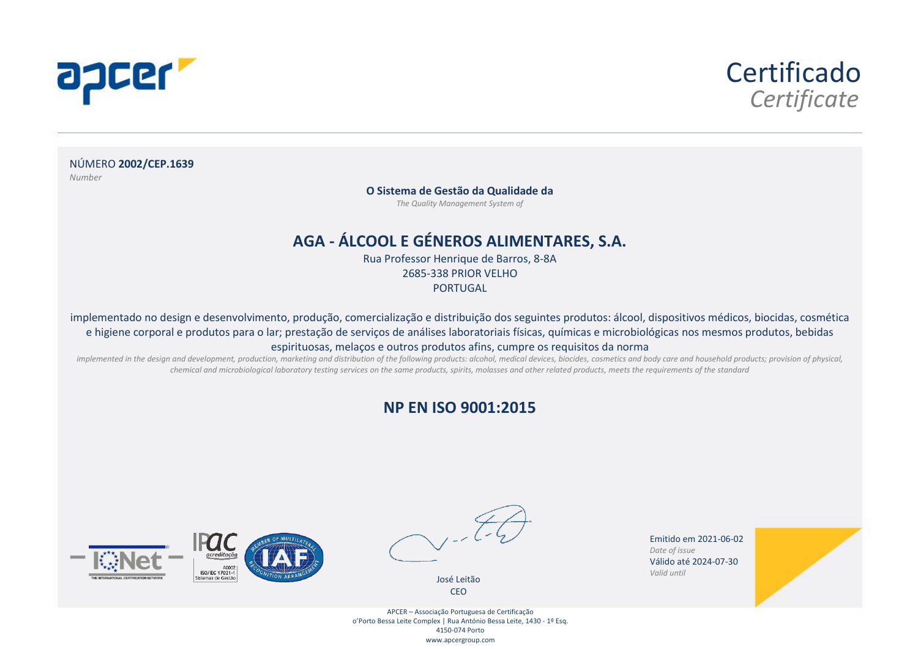



NÚMERO **2002/CEP.1639** *Number*

**O Sistema de Gestão da Qualidade da**

*The Quality Management System of*

#### **AGA - ÁLCOOL E GÉNEROS ALIMENTARES, S.A.**

Rua Professor Henrique de Barros, 8-8A 2685-338 PRIOR VELHO **PORTUGAL** 

implementado no design e desenvolvimento, produção, comercialização e distribuição dos seguintes produtos: álcool, dispositivos médicos, biocidas, cosmética e higiene corporal e produtos para o lar; prestação de serviços de análises laboratoriais físicas, químicas e microbiológicas nos mesmos produtos, bebidas espirituosas, melaços e outros produtos afins, cumpre os requisitos da norma

implemented in the design and development, production, marketing and distribution of the following products: alcohol, medical devices, biocides, cosmetics and body care and household products; provision of physical, *chemical and microbiological laboratory testing services on the same products, spirits, molasses and other related products, meets the requirements of the standard*

#### **NP EN ISO 9001:2015**





José Leitão CEO

Emitido em 2021-06-02 *Date of issue* Válido até 2024-07-30 *Valid until*



APCER – Associação Portuguesa de Certificação o'Porto Bessa Leite Complex | Rua António Bessa Leite, 1430 - 1º Esq. 4150-074 Porto www.apcergroup.com